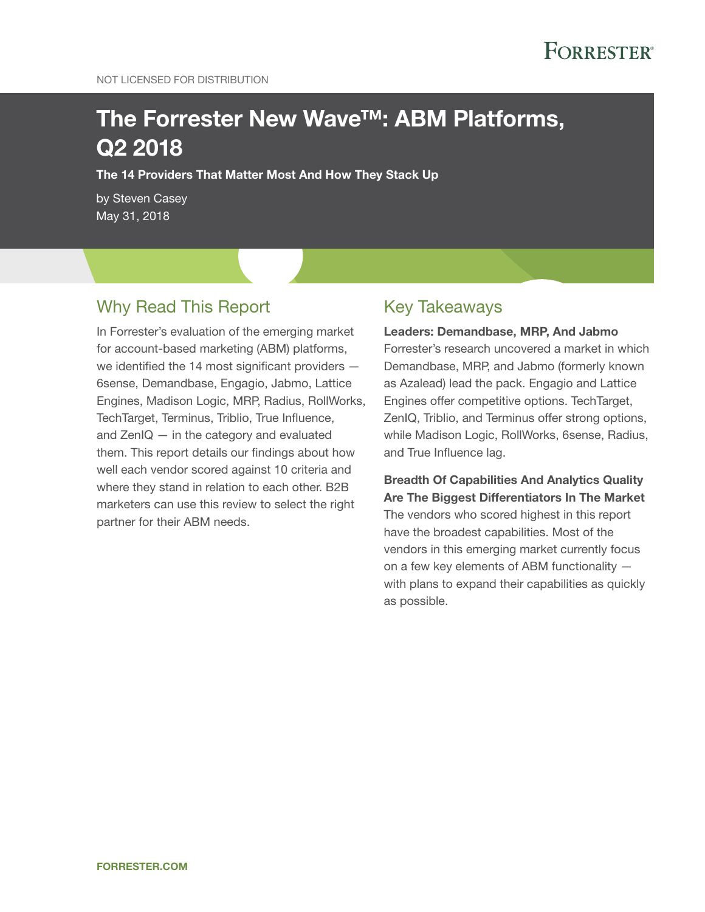# The Forrester New Wave™: ABM Platforms, Q2 2018

The 14 Providers That Matter Most And How They Stack Up

by Steven Casey May 31, 2018

### Why Read This Report

In Forrester's evaluation of the emerging market for account-based marketing (ABM) platforms, we identified the 14 most significant providers — 6sense, Demandbase, Engagio, Jabmo, Lattice Engines, Madison Logic, MRP, Radius, RollWorks, TechTarget, Terminus, Triblio, True Influence, and ZenIQ — in the category and evaluated them. This report details our findings about how well each vendor scored against 10 criteria and where they stand in relation to each other. B2B marketers can use this review to select the right partner for their ABM needs.

### Key Takeaways

Leaders: Demandbase, MRP, And Jabmo Forrester's research uncovered a market in which Demandbase, MRP, and Jabmo (formerly known as Azalead) lead the pack. Engagio and Lattice Engines offer competitive options. TechTarget, ZenIQ, Triblio, and Terminus offer strong options, while Madison Logic, RollWorks, 6sense, Radius, and True Influence lag.

Breadth Of Capabilities And Analytics Quality Are The Biggest Differentiators In The Market The vendors who scored highest in this report have the broadest capabilities. Most of the vendors in this emerging market currently focus on a few key elements of ABM functionality with plans to expand their capabilities as quickly as possible.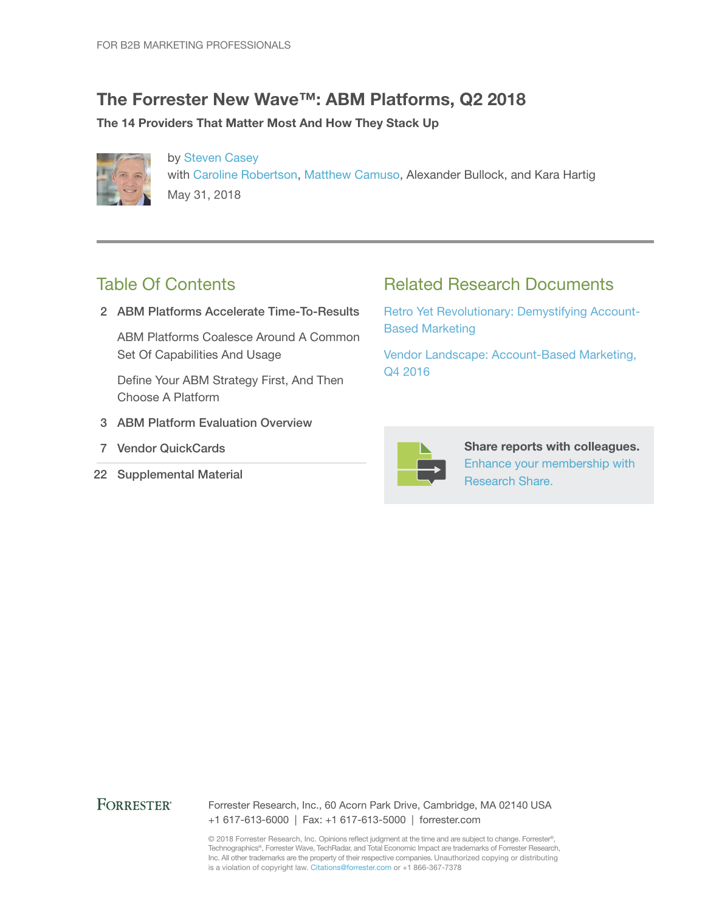### The Forrester New Wave™: ABM Platforms, Q2 2018

#### The 14 Providers That Matter Most And How They Stack Up



by Steven Casey with Caroline Robertson, Matthew Camuso, Alexander Bullock, and Kara Hartig May 31, 2018

### Table Of Contents

2 ABM Platforms Accelerate Time-To-Results

ABM Platforms Coalesce Around A Common Set Of Capabilities And Usage

Define Your ABM Strategy First, And Then Choose A Platform

- 3 ABM Platform Evaluation Overview
- 7 Vendor QuickCards
- 22 Supplemental Material

### Related Research Documents

Retro Yet Revolutionary: Demystifying Account-Based Marketing

Vendor Landscape: Account-Based Marketing, Q4 2016



Share reports with colleagues. Enhance your membership with Research Share.

#### **FORRESTER®**

Forrester Research, Inc., 60 Acorn Park Drive, Cambridge, MA 02140 USA +1 617-613-6000 | Fax: +1 617-613-5000 | forrester.com

© 2018 Forrester Research, Inc. Opinions reflect judgment at the time and are subject to change. Forrester®, Technographics®, Forrester Wave, TechRadar, and Total Economic Impact are trademarks of Forrester Research, Inc. All other trademarks are the property of their respective companies. Unauthorized copying or distributing is a violation of copyright law. Citations@forrester.com or +1 866-367-7378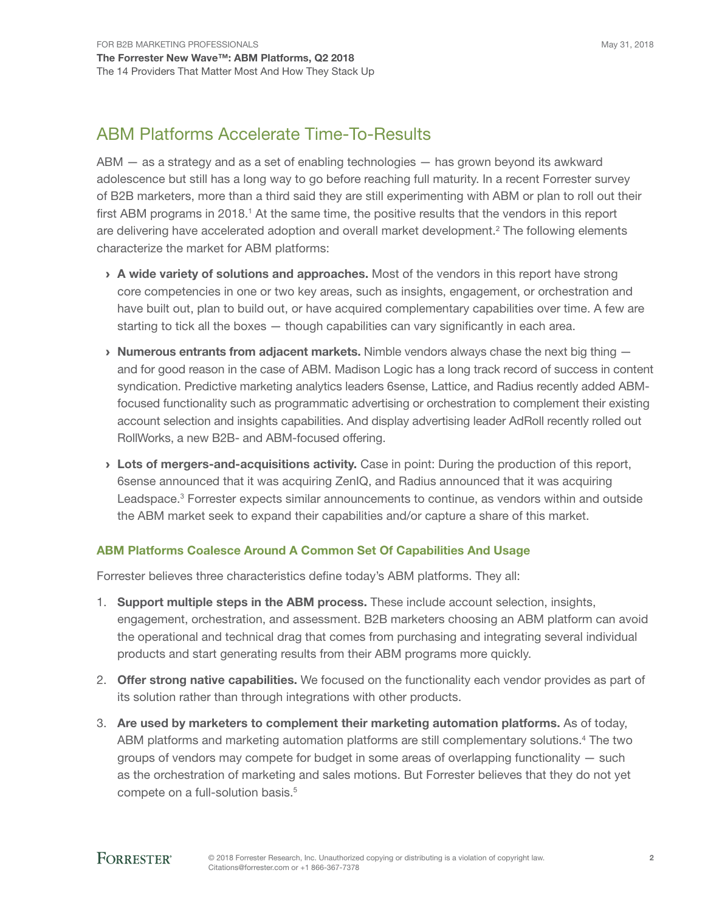## ABM Platforms Accelerate Time-To-Results

ABM — as a strategy and as a set of enabling technologies — has grown beyond its awkward adolescence but still has a long way to go before reaching full maturity. In a recent Forrester survey of B2B marketers, more than a third said they are still experimenting with ABM or plan to roll out their first ABM programs in 2018.<sup>1</sup> At the same time, the positive results that the vendors in this report are delivering have accelerated adoption and overall market development.<sup>2</sup> The following elements characterize the market for ABM platforms:

- > A wide variety of solutions and approaches. Most of the vendors in this report have strong core competencies in one or two key areas, such as insights, engagement, or orchestration and have built out, plan to build out, or have acquired complementary capabilities over time. A few are starting to tick all the boxes — though capabilities can vary significantly in each area.
- $\rightarrow$  **Numerous entrants from adjacent markets.** Nimble vendors always chase the next big thing  $$ and for good reason in the case of ABM. Madison Logic has a long track record of success in content syndication. Predictive marketing analytics leaders 6sense, Lattice, and Radius recently added ABMfocused functionality such as programmatic advertising or orchestration to complement their existing account selection and insights capabilities. And display advertising leader AdRoll recently rolled out RollWorks, a new B2B- and ABM-focused offering.
- > Lots of mergers-and-acquisitions activity. Case in point: During the production of this report, 6sense announced that it was acquiring ZenIQ, and Radius announced that it was acquiring Leadspace.<sup>3</sup> Forrester expects similar announcements to continue, as vendors within and outside the ABM market seek to expand their capabilities and/or capture a share of this market.

#### ABM Platforms Coalesce Around A Common Set Of Capabilities And Usage

Forrester believes three characteristics define today's ABM platforms. They all:

- 1. Support multiple steps in the ABM process. These include account selection, insights, engagement, orchestration, and assessment. B2B marketers choosing an ABM platform can avoid the operational and technical drag that comes from purchasing and integrating several individual products and start generating results from their ABM programs more quickly.
- 2. **Offer strong native capabilities.** We focused on the functionality each vendor provides as part of its solution rather than through integrations with other products.
- 3. Are used by marketers to complement their marketing automation platforms. As of today, ABM platforms and marketing automation platforms are still complementary solutions.<sup>4</sup> The two groups of vendors may compete for budget in some areas of overlapping functionality — such as the orchestration of marketing and sales motions. But Forrester believes that they do not yet compete on a full-solution basis.<sup>5</sup>

### **FORRESTER®**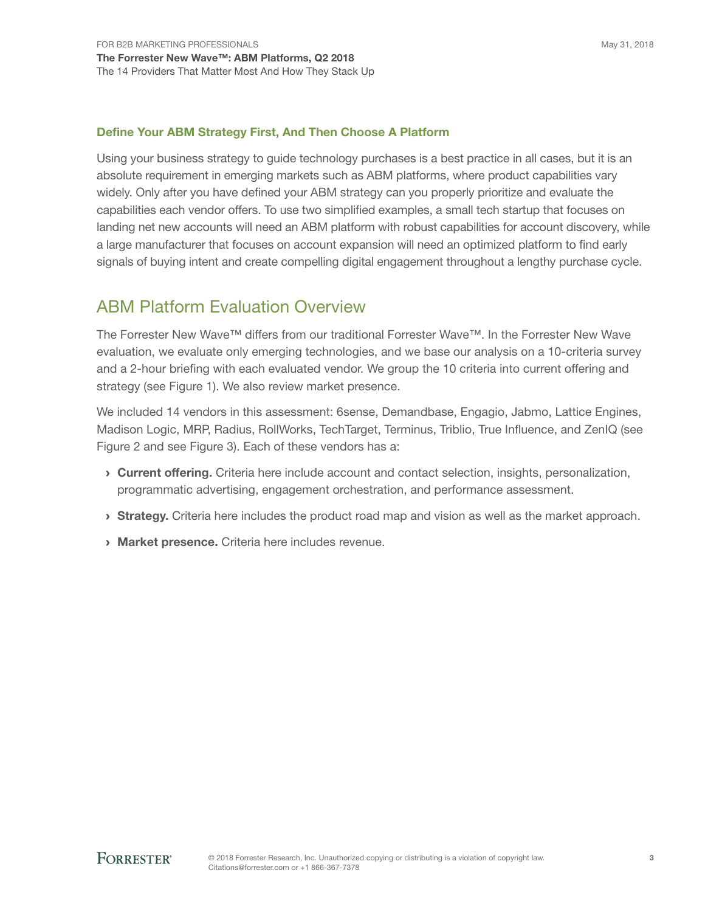#### Define Your ABM Strategy First, And Then Choose A Platform

Using your business strategy to guide technology purchases is a best practice in all cases, but it is an absolute requirement in emerging markets such as ABM platforms, where product capabilities vary widely. Only after you have defined your ABM strategy can you properly prioritize and evaluate the capabilities each vendor offers. To use two simplified examples, a small tech startup that focuses on landing net new accounts will need an ABM platform with robust capabilities for account discovery, while a large manufacturer that focuses on account expansion will need an optimized platform to find early signals of buying intent and create compelling digital engagement throughout a lengthy purchase cycle.

### ABM Platform Evaluation Overview

The Forrester New Wave™ differs from our traditional Forrester Wave™. In the Forrester New Wave evaluation, we evaluate only emerging technologies, and we base our analysis on a 10-criteria survey and a 2-hour briefing with each evaluated vendor. We group the 10 criteria into current offering and strategy (see Figure 1). We also review market presence.

We included 14 vendors in this assessment: 6sense, Demandbase, Engagio, Jabmo, Lattice Engines, Madison Logic, MRP, Radius, RollWorks, TechTarget, Terminus, Triblio, True Influence, and ZenIQ (see Figure 2 and see Figure 3). Each of these vendors has a:

- › Current offering. Criteria here include account and contact selection, insights, personalization, programmatic advertising, engagement orchestration, and performance assessment.
- **Strategy.** Criteria here includes the product road map and vision as well as the market approach.
- › Market presence. Criteria here includes revenue.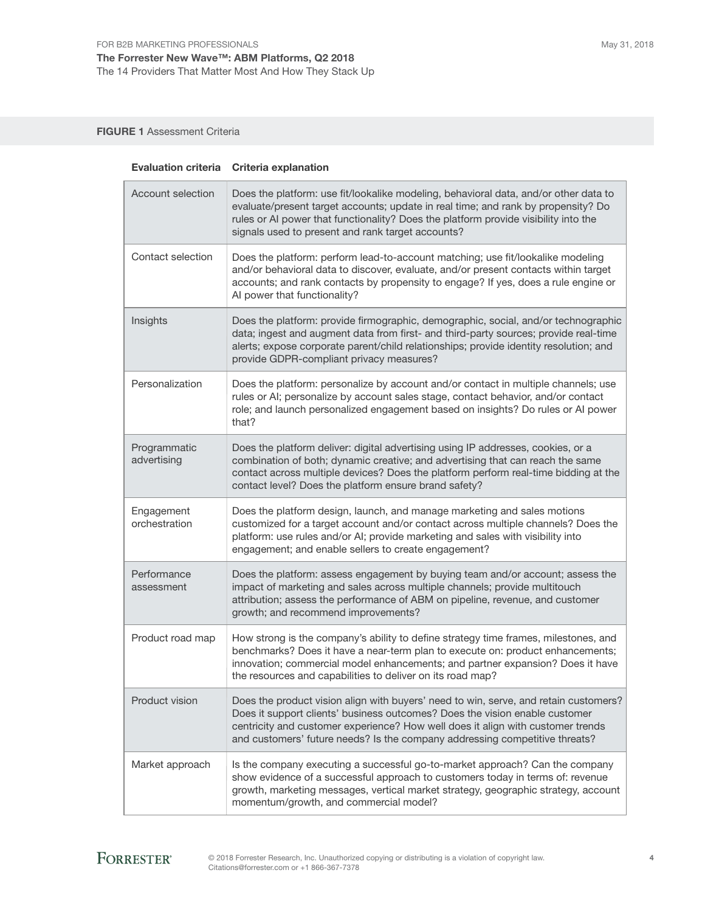FIGURE 1 Assessment Criteria

|                             | Evaluation criteria Criteria explanation                                                                                                                                                                                                                                                                                              |
|-----------------------------|---------------------------------------------------------------------------------------------------------------------------------------------------------------------------------------------------------------------------------------------------------------------------------------------------------------------------------------|
| Account selection           | Does the platform: use fit/lookalike modeling, behavioral data, and/or other data to<br>evaluate/present target accounts; update in real time; and rank by propensity? Do<br>rules or AI power that functionality? Does the platform provide visibility into the<br>signals used to present and rank target accounts?                 |
| Contact selection           | Does the platform: perform lead-to-account matching; use fit/lookalike modeling<br>and/or behavioral data to discover, evaluate, and/or present contacts within target<br>accounts; and rank contacts by propensity to engage? If yes, does a rule engine or<br>Al power that functionality?                                          |
| Insights                    | Does the platform: provide firmographic, demographic, social, and/or technographic<br>data; ingest and augment data from first- and third-party sources; provide real-time<br>alerts; expose corporate parent/child relationships; provide identity resolution; and<br>provide GDPR-compliant privacy measures?                       |
| Personalization             | Does the platform: personalize by account and/or contact in multiple channels; use<br>rules or AI; personalize by account sales stage, contact behavior, and/or contact<br>role; and launch personalized engagement based on insights? Do rules or AI power<br>that?                                                                  |
| Programmatic<br>advertising | Does the platform deliver: digital advertising using IP addresses, cookies, or a<br>combination of both; dynamic creative; and advertising that can reach the same<br>contact across multiple devices? Does the platform perform real-time bidding at the<br>contact level? Does the platform ensure brand safety?                    |
| Engagement<br>orchestration | Does the platform design, launch, and manage marketing and sales motions<br>customized for a target account and/or contact across multiple channels? Does the<br>platform: use rules and/or AI; provide marketing and sales with visibility into<br>engagement; and enable sellers to create engagement?                              |
| Performance<br>assessment   | Does the platform: assess engagement by buying team and/or account; assess the<br>impact of marketing and sales across multiple channels; provide multitouch<br>attribution; assess the performance of ABM on pipeline, revenue, and customer<br>growth; and recommend improvements?                                                  |
| Product road map            | How strong is the company's ability to define strategy time frames, milestones, and<br>benchmarks? Does it have a near-term plan to execute on: product enhancements;<br>innovation; commercial model enhancements; and partner expansion? Does it have<br>the resources and capabilities to deliver on its road map?                 |
| Product vision              | Does the product vision align with buyers' need to win, serve, and retain customers?<br>Does it support clients' business outcomes? Does the vision enable customer<br>centricity and customer experience? How well does it align with customer trends<br>and customers' future needs? Is the company addressing competitive threats? |
| Market approach             | Is the company executing a successful go-to-market approach? Can the company<br>show evidence of a successful approach to customers today in terms of: revenue<br>growth, marketing messages, vertical market strategy, geographic strategy, account<br>momentum/growth, and commercial model?                                        |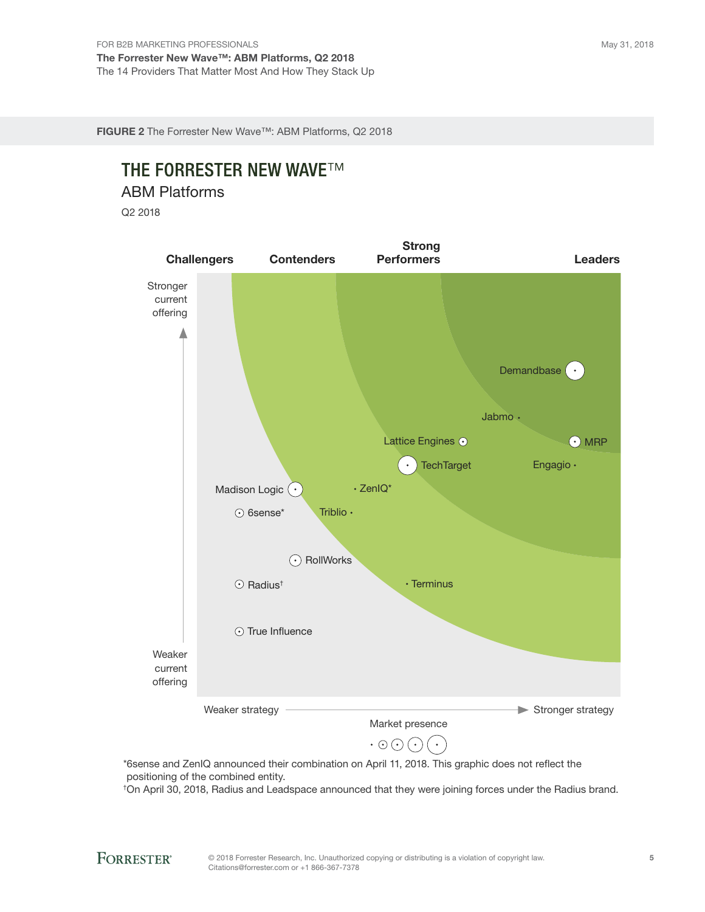FIGURE 2 The Forrester New Wave™: ABM Platforms, Q2 2018

# **THE FORRESTER NEW WAVE™**

ABM Platforms

Q2 2018



positioning of the combined entity.

† On April 30, 2018, Radius and Leadspace announced that they were joining forces under the Radius brand.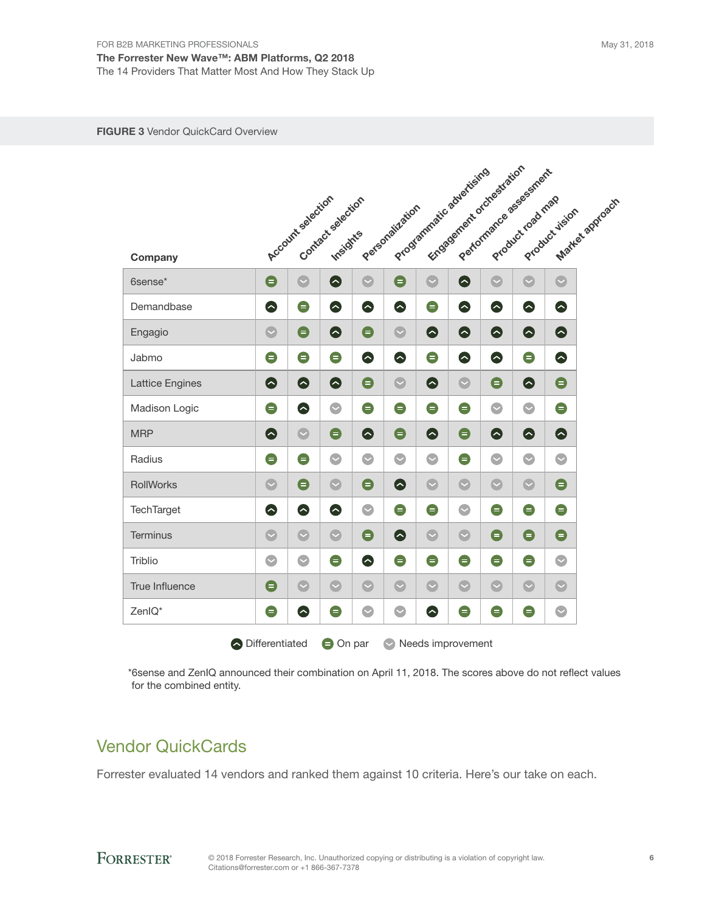The Forrester New Wave™: ABM Platforms, Q2 2018 The 14 Providers That Matter Most And How They Stack Up

#### FIGURE 3 Vendor QuickCard Overview

|                        |           | Account selection | Contact salection |           | Personalization |           | Engagement orchestration<br>Programmatic advertising |           | Performance assessment<br>Product road map | Market aggroach<br>Product vision |
|------------------------|-----------|-------------------|-------------------|-----------|-----------------|-----------|------------------------------------------------------|-----------|--------------------------------------------|-----------------------------------|
| Company                |           |                   |                   |           |                 |           |                                                      |           |                                            |                                   |
| 6sense*                | $\bullet$ | $\bullet$         | $\bullet$         | $\bullet$ | $\bullet$       | $\bullet$ | $\bullet$                                            | $\bullet$ | $\bullet$                                  | $\bullet$                         |
| Demandbase             | $\bullet$ | $\bullet$         | $\bullet$         | $\bullet$ | ●               | $\bullet$ | $\bullet$                                            | $\bullet$ | ●                                          | $\bullet$                         |
| Engagio                | $\bullet$ | $\bullet$         | $\bullet$         | $\bullet$ | $\bullet$       | $\bullet$ | $\bullet$                                            | $\bullet$ | ●                                          | $\bullet$                         |
| Jabmo                  | $\bullet$ | $\bullet$         | $\bullet$         | $\bullet$ | ●               | $\bullet$ | $\bullet$                                            | $\bullet$ | $\bullet$                                  | $\bullet$                         |
| <b>Lattice Engines</b> | $\bullet$ | $\bullet$         | $\bullet$         | $\bullet$ | $\bullet$       | $\bullet$ | $\bullet$                                            | $\bullet$ | ●                                          | $\bullet$                         |
| Madison Logic          | $\bullet$ | $\bullet$         | $\bullet$         | $\bullet$ | $\bullet$       | $\bullet$ | $\bullet$                                            | $\bullet$ | $\bullet$                                  | $\bullet$                         |
| <b>MRP</b>             | $\bullet$ | $\bullet$         | $\bullet$         | $\bullet$ | $\bullet$       | $\bullet$ | $\bullet$                                            | $\bullet$ | ♦                                          | $\bullet$                         |
| Radius                 | $\bullet$ | $\bullet$         | $\bullet$         | $\bullet$ | $\bullet$       | $\bullet$ | $\bullet$                                            | $\bullet$ | $\bullet$                                  | $\bullet$                         |
| RollWorks              | $\bullet$ | $\bullet$         | $\bullet$         | $\bullet$ | ◎               | $\bullet$ | $\bullet$                                            | $\bullet$ | $\bullet$                                  | $\bullet$                         |
| <b>TechTarget</b>      | ●         | $\bullet$         | $\bullet$         | $\bullet$ | $\bullet$       | $\bullet$ | $\bullet$                                            | $\bullet$ | $\bullet$                                  | $\bullet$                         |
| <b>Terminus</b>        | $\bullet$ | $\bullet$         | $\bullet$         | $\bullet$ | ♦               | $\bullet$ | $\bullet$                                            | $\bullet$ | $\bullet$                                  | $\bullet$                         |
| <b>Triblio</b>         | $\bullet$ | $\bullet$         | $\bullet$         | $\bullet$ | $\bullet$       | $\bullet$ | $\bullet$                                            | $\bullet$ | $\bullet$                                  | $\bullet$                         |
| <b>True Influence</b>  | $\bullet$ | $\bullet$         | $\bullet$         | $\bullet$ | $\bullet$       | $\bullet$ | $\bullet$                                            | $\bullet$ | $\bullet$                                  | $\bullet$                         |
| ZenIQ*                 | $\bullet$ | $\bullet$         | $\bullet$         | $\bullet$ | $\bullet$       | $\bullet$ | $\bullet$                                            | $\bullet$ | $\bullet$                                  | $\bullet$                         |

\*6sense and ZenIQ announced their combination on April 11, 2018. The scores above do not reflect values for the combined entity.

### Vendor QuickCards

Forrester evaluated 14 vendors and ranked them against 10 criteria. Here's our take on each.

### **FORRESTER®**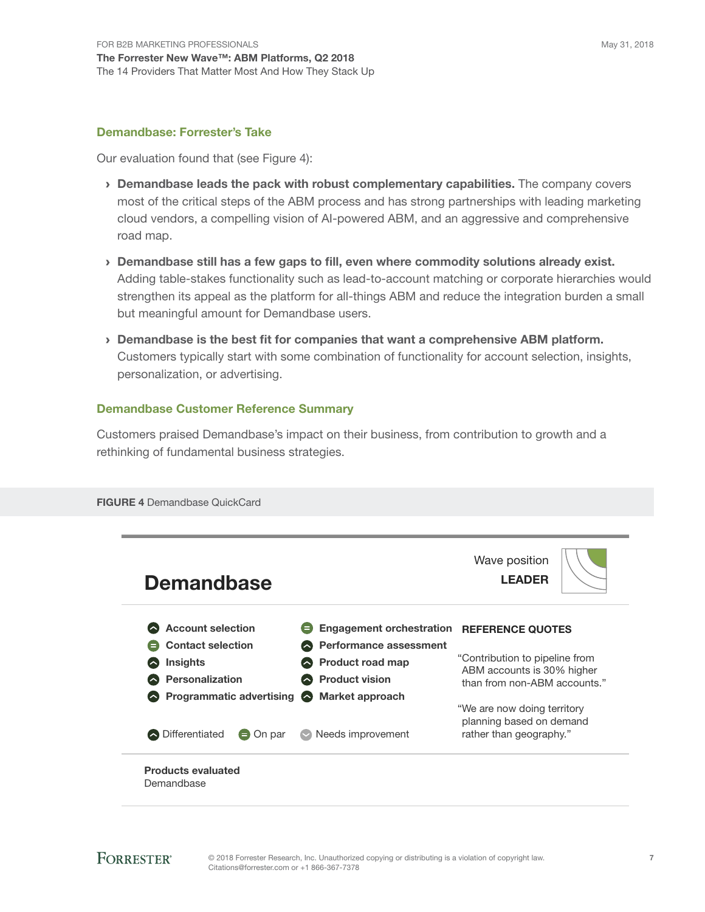#### Demandbase: Forrester's Take

Our evaluation found that (see Figure 4):

- › Demandbase leads the pack with robust complementary capabilities. The company covers most of the critical steps of the ABM process and has strong partnerships with leading marketing cloud vendors, a compelling vision of AI-powered ABM, and an aggressive and comprehensive road map.
- › Demandbase still has a few gaps to fill, even where commodity solutions already exist. Adding table-stakes functionality such as lead-to-account matching or corporate hierarchies would strengthen its appeal as the platform for all-things ABM and reduce the integration burden a small but meaningful amount for Demandbase users.
- › Demandbase is the best fit for companies that want a comprehensive ABM platform. Customers typically start with some combination of functionality for account selection, insights, personalization, or advertising.

#### Demandbase Customer Reference Summary

Customers praised Demandbase's impact on their business, from contribution to growth and a rethinking of fundamental business strategies.



FIGURE 4 Demandbase QuickCard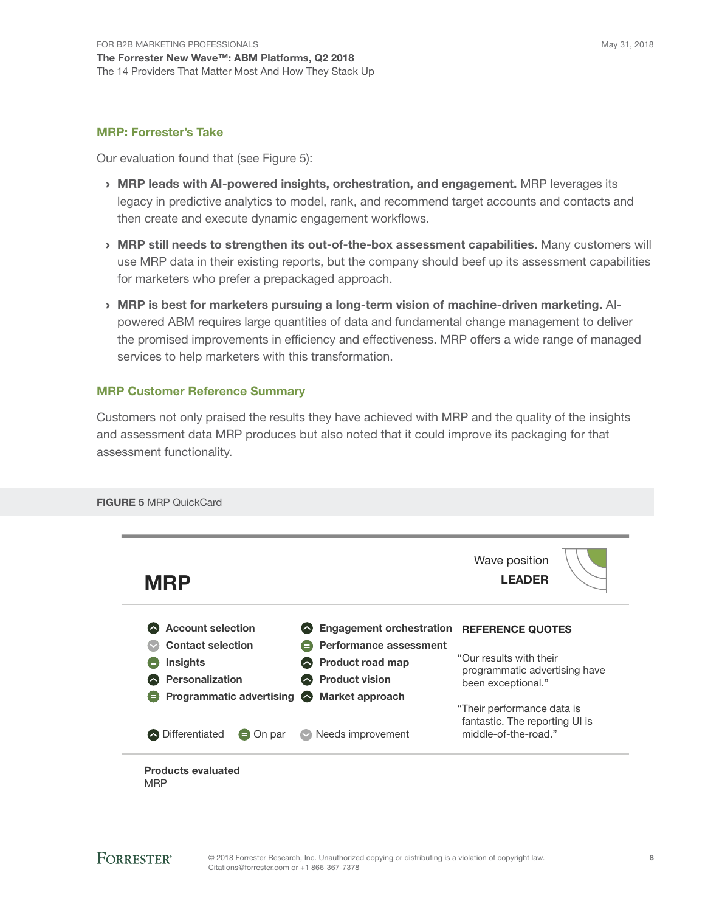#### MRP: Forrester's Take

Our evaluation found that (see Figure 5):

- › MRP leads with AI-powered insights, orchestration, and engagement. MRP leverages its legacy in predictive analytics to model, rank, and recommend target accounts and contacts and then create and execute dynamic engagement workflows.
- › MRP still needs to strengthen its out-of-the-box assessment capabilities. Many customers will use MRP data in their existing reports, but the company should beef up its assessment capabilities for marketers who prefer a prepackaged approach.
- › MRP is best for marketers pursuing a long-term vision of machine-driven marketing. AIpowered ABM requires large quantities of data and fundamental change management to deliver the promised improvements in efficiency and effectiveness. MRP offers a wide range of managed services to help marketers with this transformation.

#### MRP Customer Reference Summary

Customers not only praised the results they have achieved with MRP and the quality of the insights and assessment data MRP produces but also noted that it could improve its packaging for that assessment functionality.

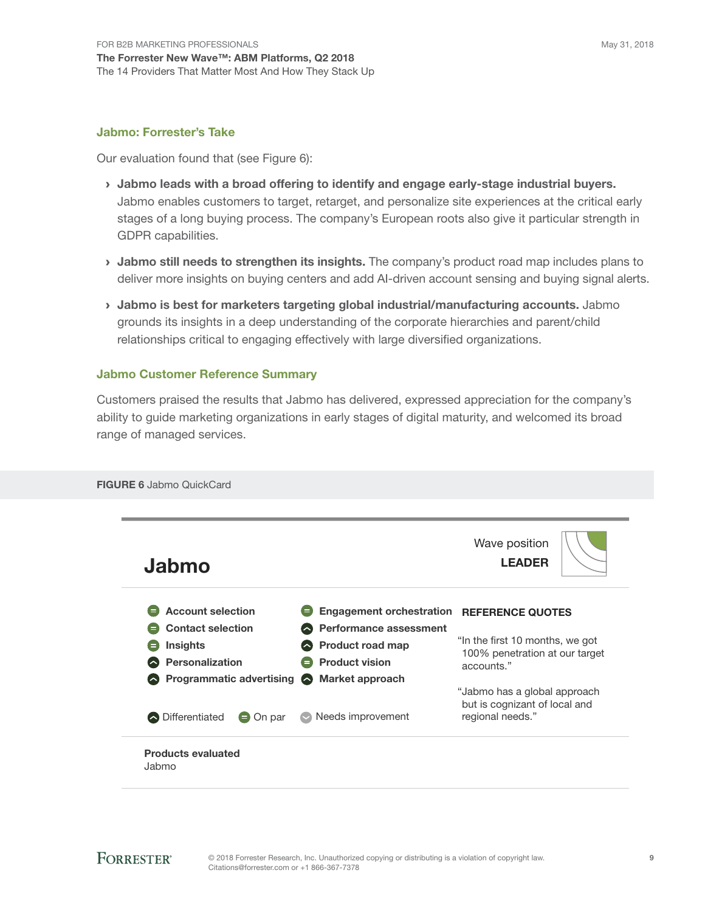#### Jabmo: Forrester's Take

Our evaluation found that (see Figure 6):

- › Jabmo leads with a broad offering to identify and engage early-stage industrial buyers. Jabmo enables customers to target, retarget, and personalize site experiences at the critical early stages of a long buying process. The company's European roots also give it particular strength in GDPR capabilities.
- I Jabmo still needs to strengthen its insights. The company's product road map includes plans to deliver more insights on buying centers and add AI-driven account sensing and buying signal alerts.
- › Jabmo is best for marketers targeting global industrial/manufacturing accounts. Jabmo grounds its insights in a deep understanding of the corporate hierarchies and parent/child relationships critical to engaging effectively with large diversified organizations.

#### Jabmo Customer Reference Summary

Customers praised the results that Jabmo has delivered, expressed appreciation for the company's ability to guide marketing organizations in early stages of digital maturity, and welcomed its broad range of managed services.

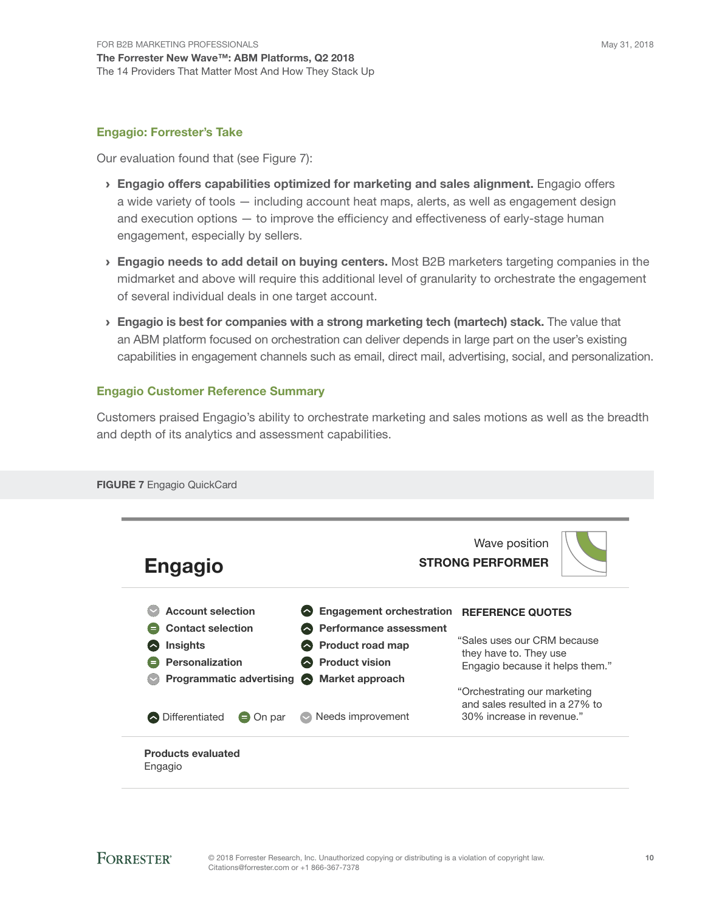#### Engagio: Forrester's Take

Our evaluation found that (see Figure 7):

- › Engagio offers capabilities optimized for marketing and sales alignment. Engagio offers a wide variety of tools — including account heat maps, alerts, as well as engagement design and execution options — to improve the efficiency and effectiveness of early-stage human engagement, especially by sellers.
- **Engagio needs to add detail on buying centers.** Most B2B marketers targeting companies in the midmarket and above will require this additional level of granularity to orchestrate the engagement of several individual deals in one target account.
- **> Engagio is best for companies with a strong marketing tech (martech) stack.** The value that an ABM platform focused on orchestration can deliver depends in large part on the user's existing capabilities in engagement channels such as email, direct mail, advertising, social, and personalization.

#### Engagio Customer Reference Summary

FIGURE 7 Engagio QuickCard

Customers praised Engagio's ability to orchestrate marketing and sales motions as well as the breadth and depth of its analytics and assessment capabilities.

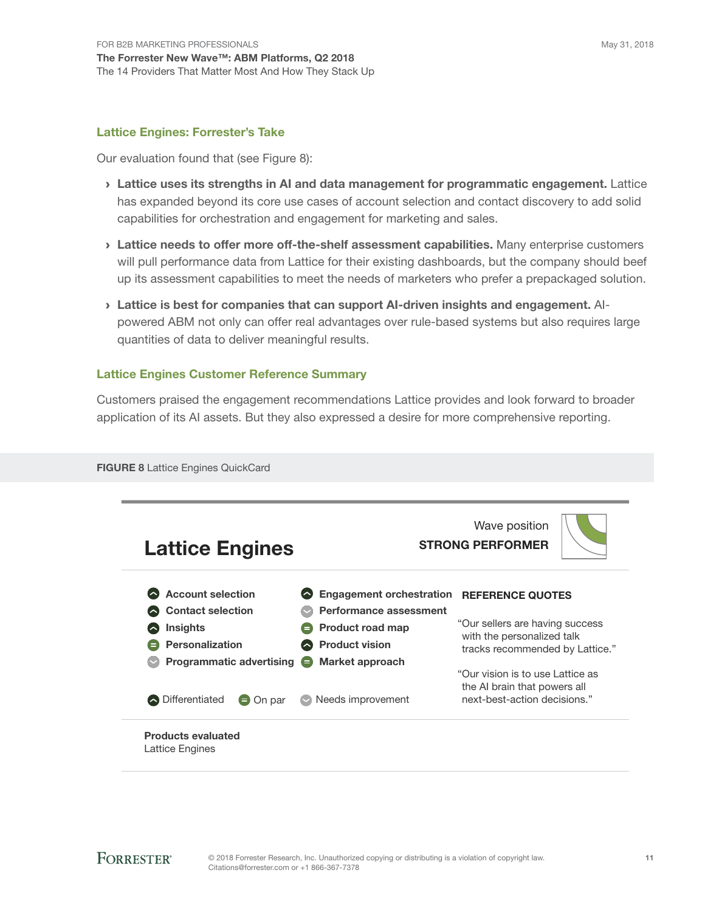#### Lattice Engines: Forrester's Take

Our evaluation found that (see Figure 8):

- › Lattice uses its strengths in AI and data management for programmatic engagement. Lattice has expanded beyond its core use cases of account selection and contact discovery to add solid capabilities for orchestration and engagement for marketing and sales.
- > Lattice needs to offer more off-the-shelf assessment capabilities. Many enterprise customers will pull performance data from Lattice for their existing dashboards, but the company should beef up its assessment capabilities to meet the needs of marketers who prefer a prepackaged solution.
- › Lattice is best for companies that can support AI-driven insights and engagement. AIpowered ABM not only can offer real advantages over rule-based systems but also requires large quantities of data to deliver meaningful results.

#### Lattice Engines Customer Reference Summary

Customers praised the engagement recommendations Lattice provides and look forward to broader application of its AI assets. But they also expressed a desire for more comprehensive reporting.

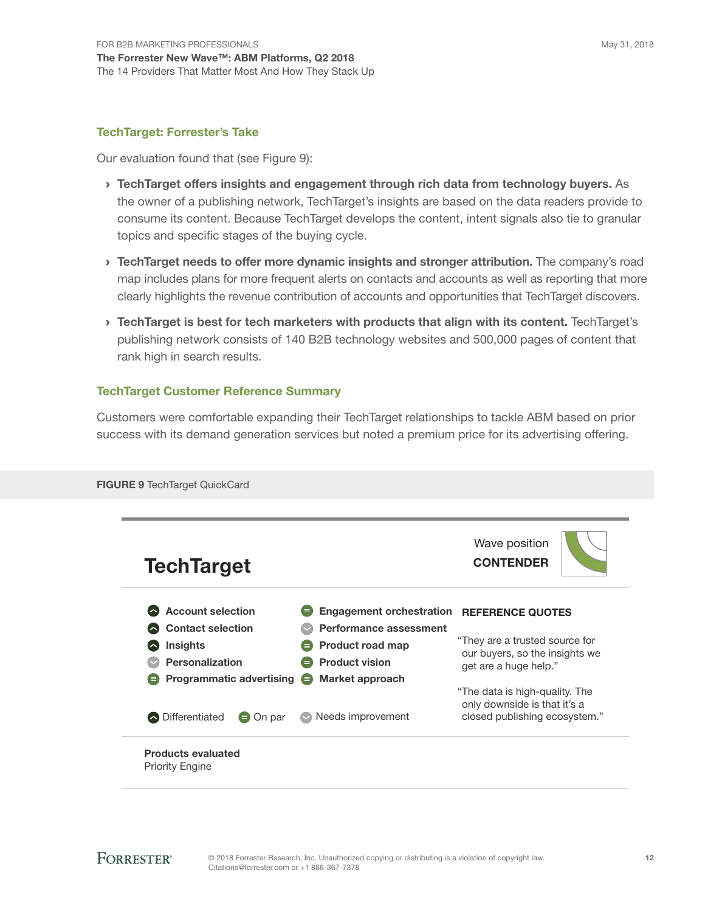#### TechTarget: Forrester's Take

Our evaluation found that (see Figure 9):

- › TechTarget offers insights and engagement through rich data from technology buyers. As the owner of a publishing network, TechTarget's insights are based on the data readers provide to consume its content. Because TechTarget develops the content, intent signals also tie to granular topics and specific stages of the buying cycle.
- **Example 1** TechTarget needs to offer more dynamic insights and stronger attribution. The company's road map includes plans for more frequent alerts on contacts and accounts as well as reporting that more clearly highlights the revenue contribution of accounts and opportunities that TechTarget discovers.
- › TechTarget is best for tech marketers with products that align with its content. TechTarget's publishing network consists of 140 B2B technology websites and 500,000 pages of content that rank high in search results.

#### TechTarget Customer Reference Summary

Customers were comfortable expanding their TechTarget relationships to tackle ABM based on prior success with its demand generation services but noted a premium price for its advertising offering.

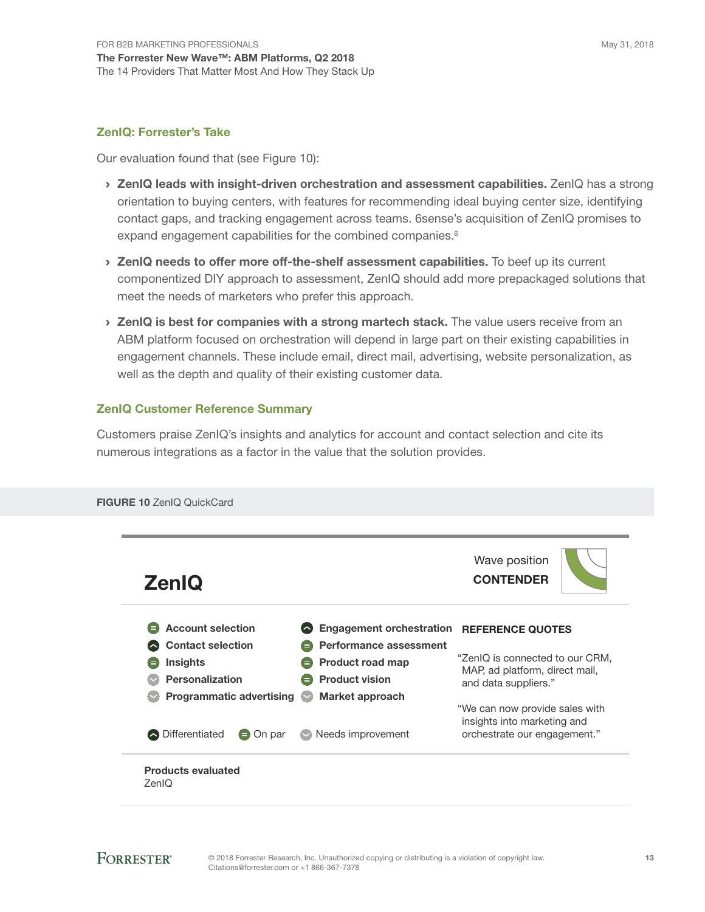#### ZenIQ: Forrester's Take

Our evaluation found that (see Figure 10):

- > ZenIQ leads with insight-driven orchestration and assessment capabilities. ZenIQ has a strong orientation to buying centers, with features for recommending ideal buying center size, identifying contact gaps, and tracking engagement across teams. 6sense's acquisition of ZenIQ promises to expand engagement capabilities for the combined companies.<sup>6</sup>
- > ZenIQ needs to offer more off-the-shelf assessment capabilities. To beef up its current componentized DIY approach to assessment, ZenIQ should add more prepackaged solutions that meet the needs of marketers who prefer this approach.
- > ZenIQ is best for companies with a strong martech stack. The value users receive from an ABM platform focused on orchestration will depend in large part on their existing capabilities in engagement channels. These include email, direct mail, advertising, website personalization, as well as the depth and quality of their existing customer data.

#### ZenIQ Customer Reference Summary

Customers praise ZenIQ's insights and analytics for account and contact selection and cite its numerous integrations as a factor in the value that the solution provides.

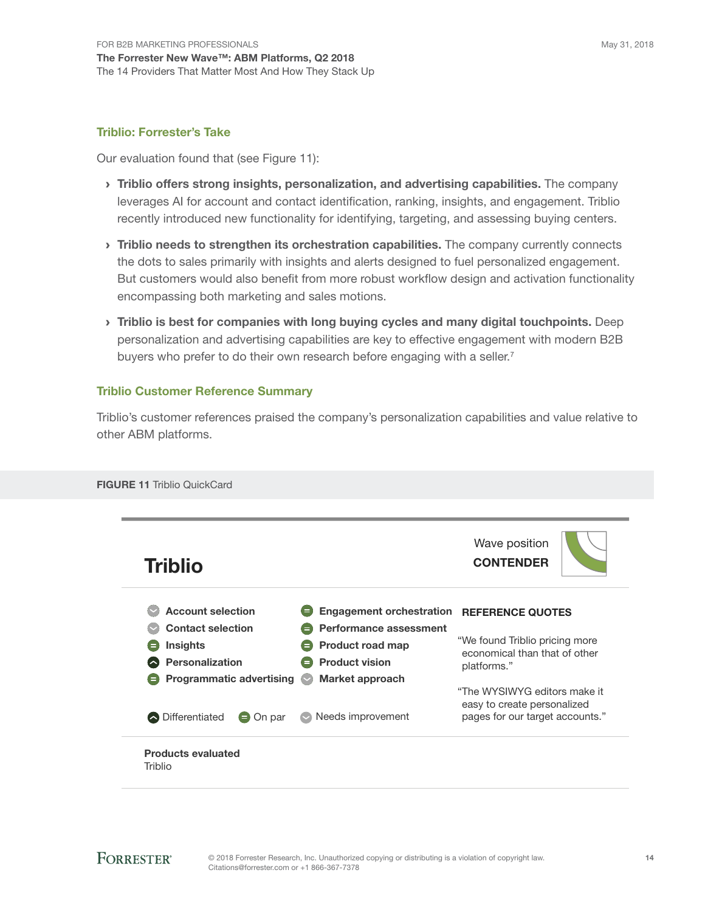#### Triblio: Forrester's Take

Our evaluation found that (see Figure 11):

- > Triblio offers strong insights, personalization, and advertising capabilities. The company leverages AI for account and contact identification, ranking, insights, and engagement. Triblio recently introduced new functionality for identifying, targeting, and assessing buying centers.
- $\rightarrow$  Triblio needs to strengthen its orchestration capabilities. The company currently connects the dots to sales primarily with insights and alerts designed to fuel personalized engagement. But customers would also benefit from more robust workflow design and activation functionality encompassing both marketing and sales motions.
- › Triblio is best for companies with long buying cycles and many digital touchpoints. Deep personalization and advertising capabilities are key to effective engagement with modern B2B buyers who prefer to do their own research before engaging with a seller.<sup>7</sup>

#### Triblio Customer Reference Summary

Triblio's customer references praised the company's personalization capabilities and value relative to other ABM platforms.

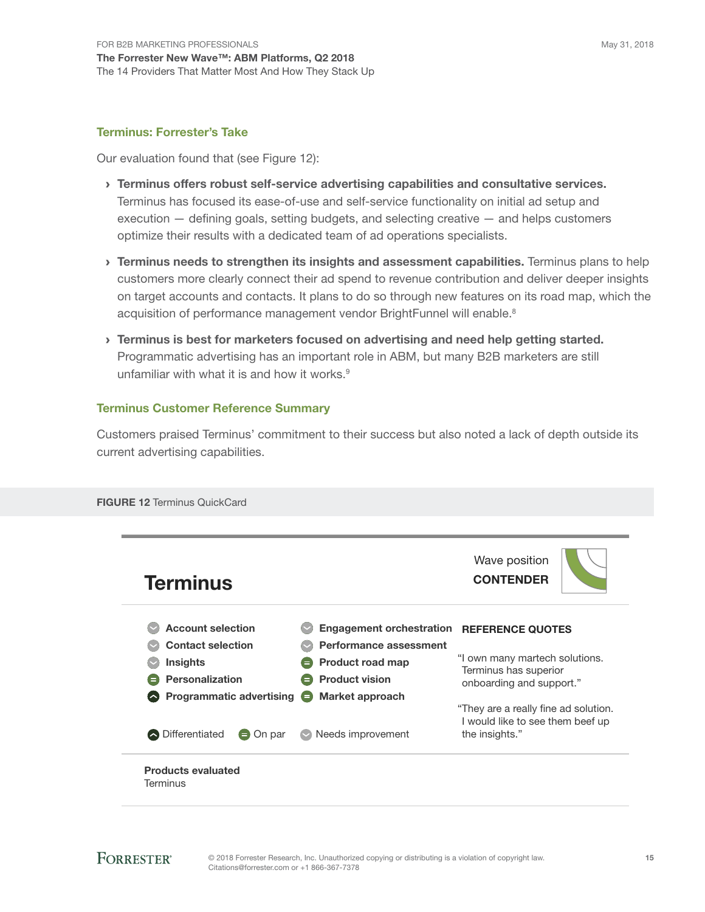#### Terminus: Forrester's Take

Our evaluation found that (see Figure 12):

- › Terminus offers robust self-service advertising capabilities and consultative services. Terminus has focused its ease-of-use and self-service functionality on initial ad setup and execution — defining goals, setting budgets, and selecting creative — and helps customers optimize their results with a dedicated team of ad operations specialists.
- > Terminus needs to strengthen its insights and assessment capabilities. Terminus plans to help customers more clearly connect their ad spend to revenue contribution and deliver deeper insights on target accounts and contacts. It plans to do so through new features on its road map, which the acquisition of performance management vendor BrightFunnel will enable.<sup>8</sup>
- › Terminus is best for marketers focused on advertising and need help getting started. Programmatic advertising has an important role in ABM, but many B2B marketers are still unfamiliar with what it is and how it works.<sup>9</sup>

#### Terminus Customer Reference Summary

Customers praised Terminus' commitment to their success but also noted a lack of depth outside its current advertising capabilities.

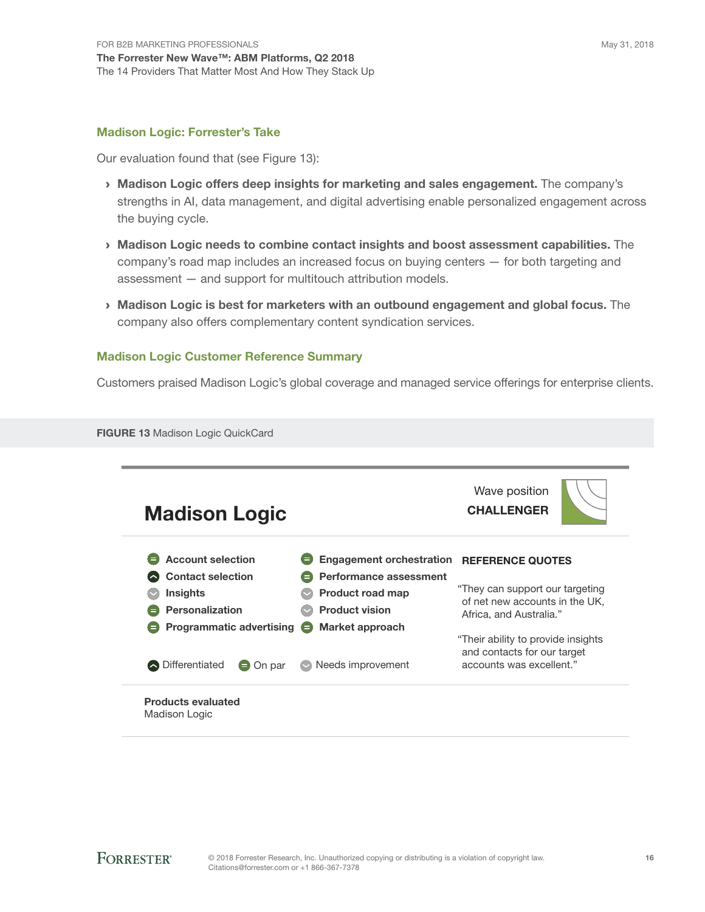#### Madison Logic: Forrester's Take

Our evaluation found that (see Figure 13):

- › Madison Logic offers deep insights for marketing and sales engagement. The company's strengths in AI, data management, and digital advertising enable personalized engagement across the buying cycle.
- › Madison Logic needs to combine contact insights and boost assessment capabilities. The company's road map includes an increased focus on buying centers — for both targeting and assessment — and support for multitouch attribution models.
- › Madison Logic is best for marketers with an outbound engagement and global focus. The company also offers complementary content syndication services.

#### Madison Logic Customer Reference Summary

Customers praised Madison Logic's global coverage and managed service offerings for enterprise clients.

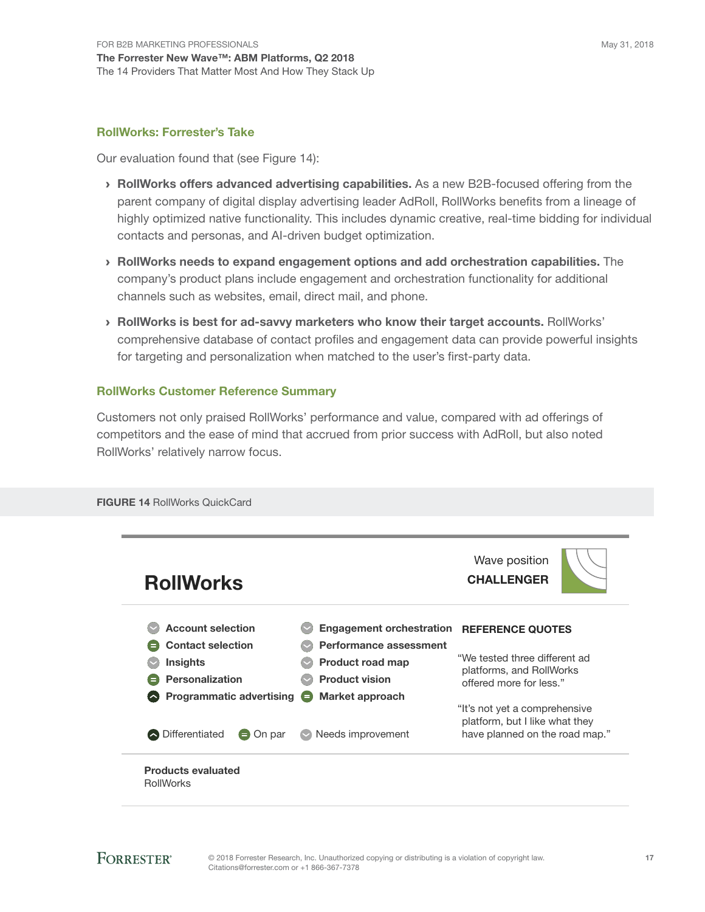#### RollWorks: Forrester's Take

Our evaluation found that (see Figure 14):

- › RollWorks offers advanced advertising capabilities. As a new B2B-focused offering from the parent company of digital display advertising leader AdRoll, RollWorks benefits from a lineage of highly optimized native functionality. This includes dynamic creative, real-time bidding for individual contacts and personas, and AI-driven budget optimization.
- › RollWorks needs to expand engagement options and add orchestration capabilities. The company's product plans include engagement and orchestration functionality for additional channels such as websites, email, direct mail, and phone.
- › RollWorks is best for ad-savvy marketers who know their target accounts. RollWorks' comprehensive database of contact profiles and engagement data can provide powerful insights for targeting and personalization when matched to the user's first-party data.

#### RollWorks Customer Reference Summary

Customers not only praised RollWorks' performance and value, compared with ad offerings of competitors and the ease of mind that accrued from prior success with AdRoll, but also noted RollWorks' relatively narrow focus.

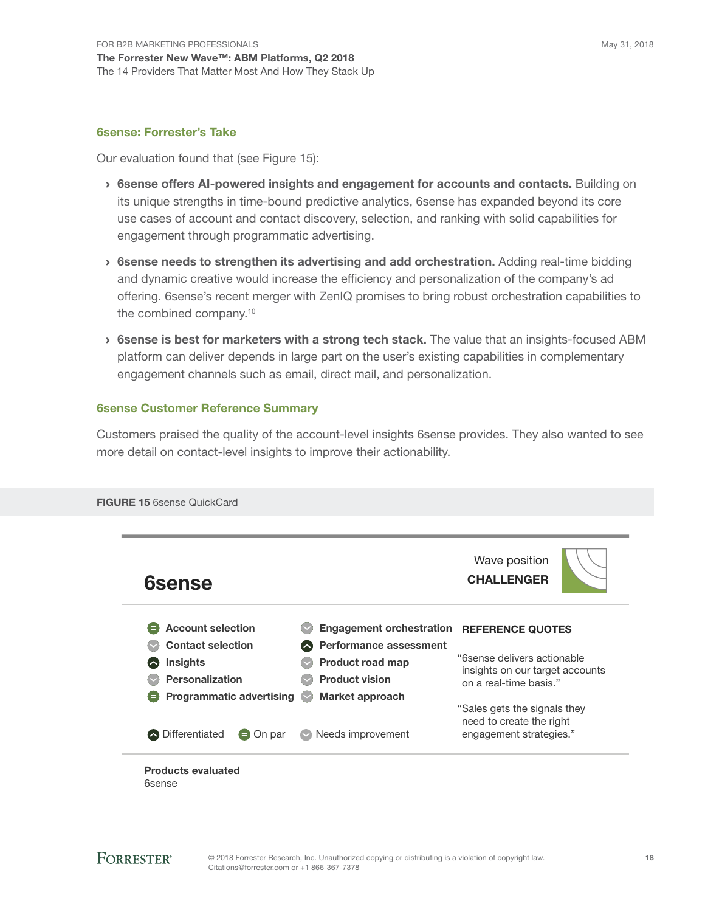#### 6sense: Forrester's Take

Our evaluation found that (see Figure 15):

- › 6sense offers AI-powered insights and engagement for accounts and contacts. Building on its unique strengths in time-bound predictive analytics, 6sense has expanded beyond its core use cases of account and contact discovery, selection, and ranking with solid capabilities for engagement through programmatic advertising.
- › 6sense needs to strengthen its advertising and add orchestration. Adding real-time bidding and dynamic creative would increase the efficiency and personalization of the company's ad offering. 6sense's recent merger with ZenIQ promises to bring robust orchestration capabilities to the combined company.<sup>10</sup>
- › 6sense is best for marketers with a strong tech stack. The value that an insights-focused ABM platform can deliver depends in large part on the user's existing capabilities in complementary engagement channels such as email, direct mail, and personalization.

#### 6sense Customer Reference Summary

Customers praised the quality of the account-level insights 6sense provides. They also wanted to see more detail on contact-level insights to improve their actionability.

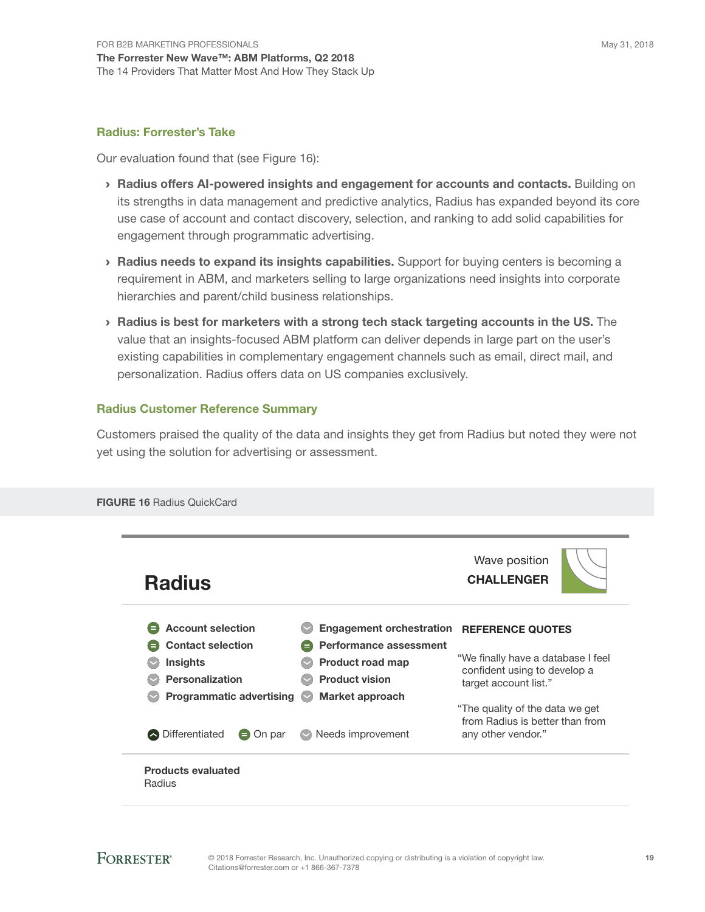#### Radius: Forrester's Take

Our evaluation found that (see Figure 16):

- › Radius offers AI-powered insights and engagement for accounts and contacts. Building on its strengths in data management and predictive analytics, Radius has expanded beyond its core use case of account and contact discovery, selection, and ranking to add solid capabilities for engagement through programmatic advertising.
- › Radius needs to expand its insights capabilities. Support for buying centers is becoming a requirement in ABM, and marketers selling to large organizations need insights into corporate hierarchies and parent/child business relationships.
- › Radius is best for marketers with a strong tech stack targeting accounts in the US. The value that an insights-focused ABM platform can deliver depends in large part on the user's existing capabilities in complementary engagement channels such as email, direct mail, and personalization. Radius offers data on US companies exclusively.

#### Radius Customer Reference Summary

Customers praised the quality of the data and insights they get from Radius but noted they were not yet using the solution for advertising or assessment.

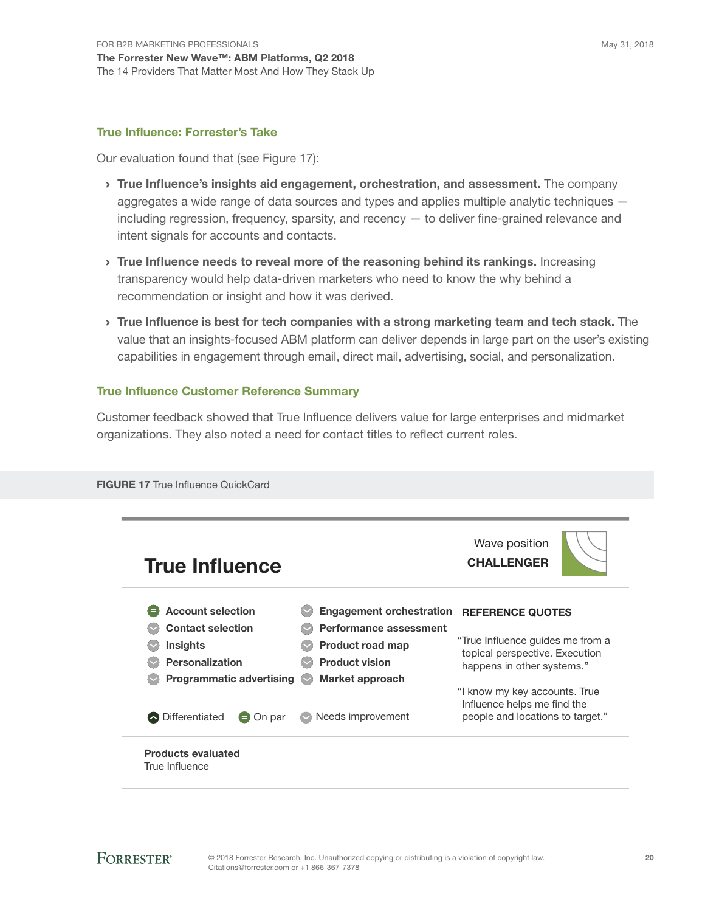#### True Influence: Forrester's Take

Our evaluation found that (see Figure 17):

- > True Influence's insights aid engagement, orchestration, and assessment. The company aggregates a wide range of data sources and types and applies multiple analytic techniques including regression, frequency, sparsity, and recency — to deliver fine-grained relevance and intent signals for accounts and contacts.
- > True Influence needs to reveal more of the reasoning behind its rankings. Increasing transparency would help data-driven marketers who need to know the why behind a recommendation or insight and how it was derived.
- › True Influence is best for tech companies with a strong marketing team and tech stack. The value that an insights-focused ABM platform can deliver depends in large part on the user's existing capabilities in engagement through email, direct mail, advertising, social, and personalization.

#### True Influence Customer Reference Summary

Customer feedback showed that True Influence delivers value for large enterprises and midmarket organizations. They also noted a need for contact titles to reflect current roles.

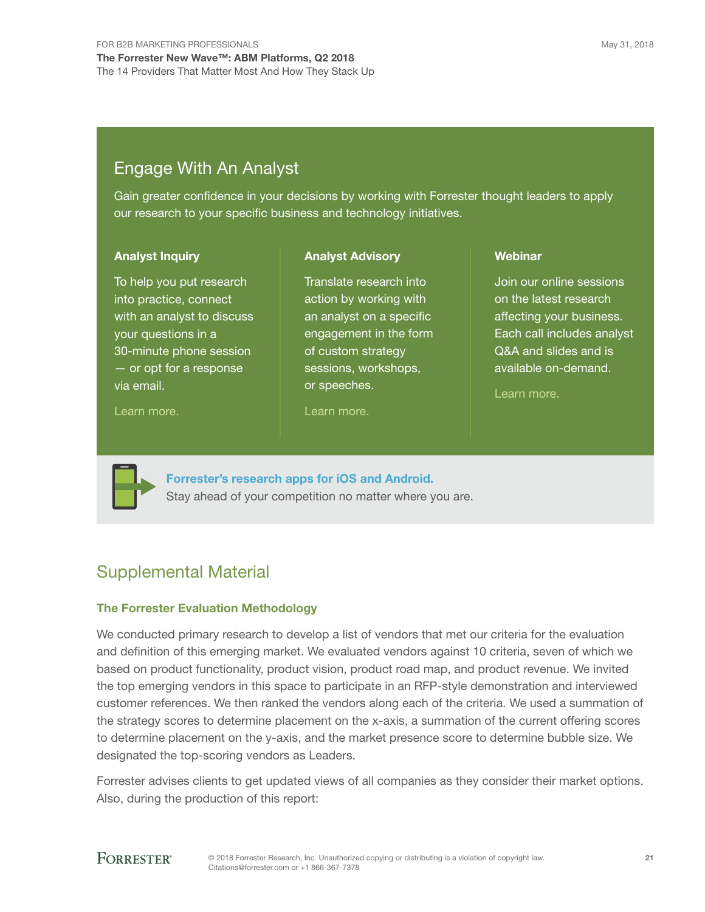### Engage With An Analyst

Gain greater confidence in your decisions by working with Forrester thought leaders to apply our research to your specific business and technology initiatives.

> Translate research into action by working with an analyst on a specific engagement in the form of custom strategy sessions, workshops,

Analyst Advisory

#### Analyst Inquiry

To help you put research into practice, connect with an analyst to discuss your questions in a 30-minute phone session — or opt for a response via email.

#### Learn more.

or speeches.

Learn more.

#### **Webinar**

Join our online sessions on the latest research affecting your business. Each call includes analyst Q&A and slides and is available on-demand.

Learn more.



Forrester's research apps for iOS and Android. Stay ahead of your competition no matter where you are.

### Supplemental Material

#### The Forrester Evaluation Methodology

We conducted primary research to develop a list of vendors that met our criteria for the evaluation and definition of this emerging market. We evaluated vendors against 10 criteria, seven of which we based on product functionality, product vision, product road map, and product revenue. We invited the top emerging vendors in this space to participate in an RFP-style demonstration and interviewed customer references. We then ranked the vendors along each of the criteria. We used a summation of the strategy scores to determine placement on the x-axis, a summation of the current offering scores to determine placement on the y-axis, and the market presence score to determine bubble size. We designated the top-scoring vendors as Leaders.

Forrester advises clients to get updated views of all companies as they consider their market options. Also, during the production of this report:

### **FORRESTER®**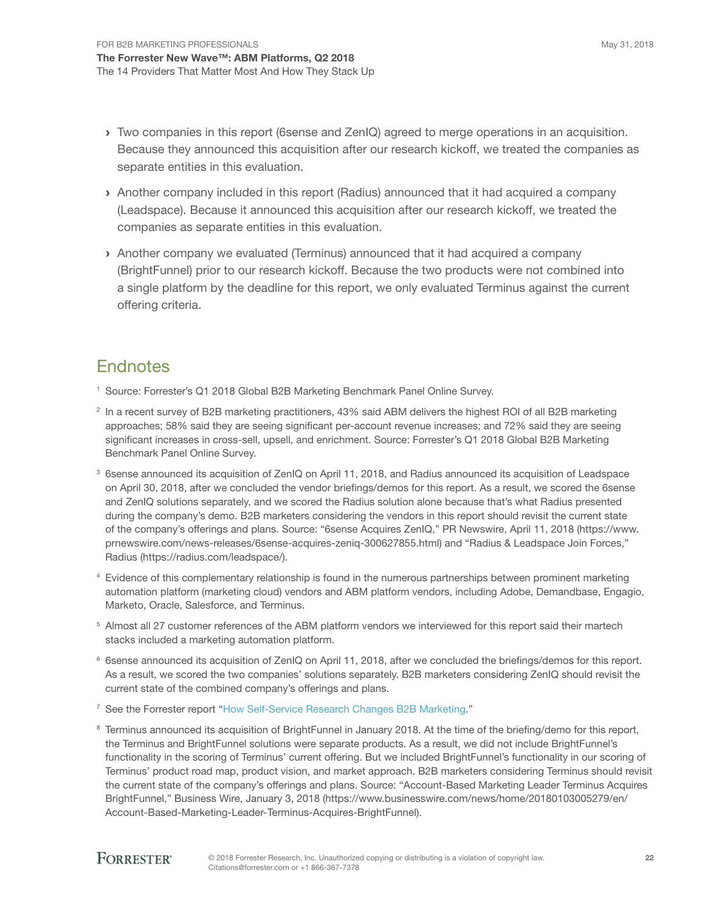- › Two companies in this report (6sense and ZenIQ) agreed to merge operations in an acquisition. Because they announced this acquisition after our research kickoff, we treated the companies as separate entities in this evaluation.
- › Another company included in this report (Radius) announced that it had acquired a company (Leadspace). Because it announced this acquisition after our research kickoff, we treated the companies as separate entities in this evaluation.
- › Another company we evaluated (Terminus) announced that it had acquired a company (BrightFunnel) prior to our research kickoff. Because the two products were not combined into a single platform by the deadline for this report, we only evaluated Terminus against the current offering criteria.

### **Endnotes**

- <sup>1</sup> Source: Forrester's Q1 2018 Global B2B Marketing Benchmark Panel Online Survey.
- <sup>2</sup> In a recent survey of B2B marketing practitioners, 43% said ABM delivers the highest ROI of all B2B marketing approaches; 58% said they are seeing significant per-account revenue increases; and 72% said they are seeing significant increases in cross-sell, upsell, and enrichment. Source: Forrester's Q1 2018 Global B2B Marketing Benchmark Panel Online Survey.
- <sup>3</sup> 6sense announced its acquisition of ZenIQ on April 11, 2018, and Radius announced its acquisition of Leadspace on April 30, 2018, after we concluded the vendor briefings/demos for this report. As a result, we scored the 6sense and ZenIQ solutions separately, and we scored the Radius solution alone because that's what Radius presented during the company's demo. B2B marketers considering the vendors in this report should revisit the current state of the company's offerings and plans. Source: "6sense Acquires ZenIQ," PR Newswire, April 11, 2018 (https://www. prnewswire.com/news-releases/6sense-acquires-zeniq-300627855.html) and "Radius & Leadspace Join Forces," Radius (https://radius.com/leadspace/).
- <sup>4</sup> Evidence of this complementary relationship is found in the numerous partnerships between prominent marketing automation platform (marketing cloud) vendors and ABM platform vendors, including Adobe, Demandbase, Engagio, Marketo, Oracle, Salesforce, and Terminus.
- <sup>5</sup> Almost all 27 customer references of the ABM platform vendors we interviewed for this report said their martech stacks included a marketing automation platform.
- <sup>6</sup> 6sense announced its acquisition of ZenIQ on April 11, 2018, after we concluded the briefings/demos for this report. As a result, we scored the two companies' solutions separately. B2B marketers considering ZenIQ should revisit the current state of the combined company's offerings and plans.
- <sup>7</sup> See the Forrester report "How Self-Service Research Changes B2B Marketing."
- <sup>8</sup> Terminus announced its acquisition of BrightFunnel in January 2018. At the time of the briefing/demo for this report, the Terminus and BrightFunnel solutions were separate products. As a result, we did not include BrightFunnel's functionality in the scoring of Terminus' current offering. But we included BrightFunnel's functionality in our scoring of Terminus' product road map, product vision, and market approach. B2B marketers considering Terminus should revisit the current state of the company's offerings and plans. Source: "Account-Based Marketing Leader Terminus Acquires BrightFunnel," Business Wire, January 3, 2018 (https://www.businesswire.com/news/home/20180103005279/en/ Account-Based-Marketing-Leader-Terminus-Acquires-BrightFunnel).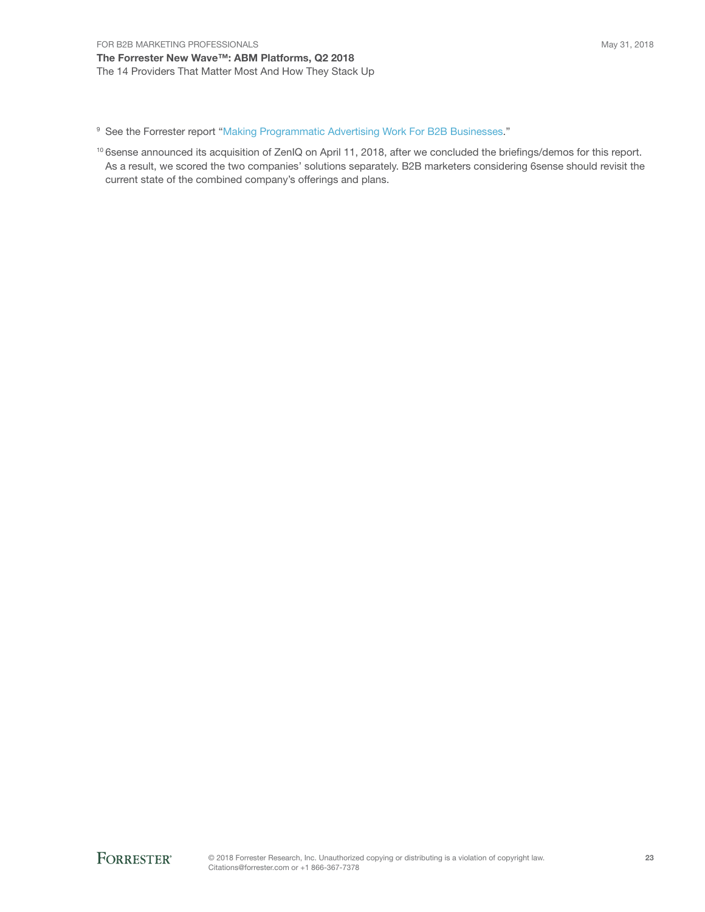The Forrester New Wave™: ABM Platforms, Q2 2018 The 14 Providers That Matter Most And How They Stack Up

<sup>9</sup> See the Forrester report "Making Programmatic Advertising Work For B2B Businesses."

10 6sense announced its acquisition of ZenIQ on April 11, 2018, after we concluded the briefings/demos for this report. As a result, we scored the two companies' solutions separately. B2B marketers considering 6sense should revisit the current state of the combined company's offerings and plans.